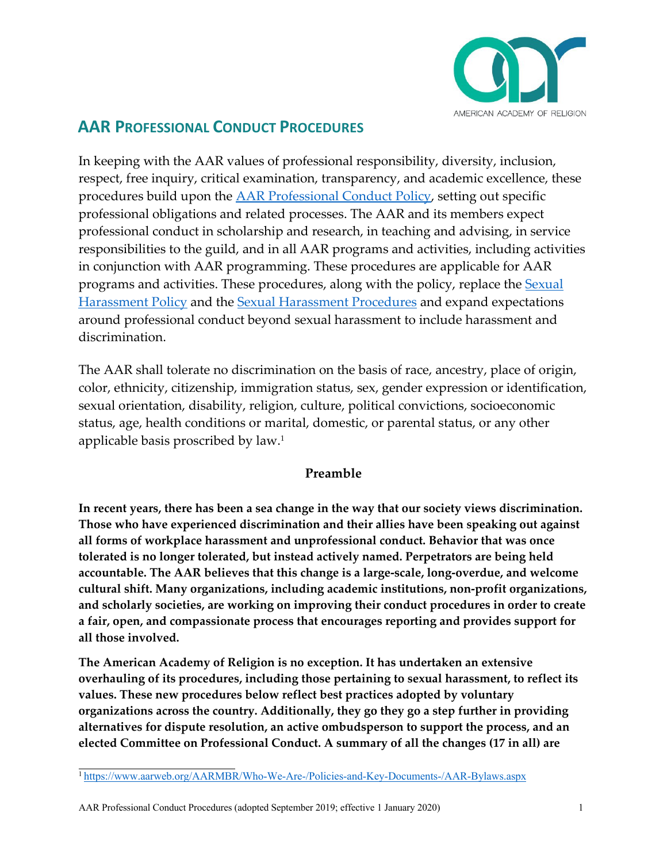

# **AAR PROFESSIONAL CONDUCT PROCEDURES**

In keeping with the AAR values of professional responsibility, diversity, inclusion, respect, free inquiry, critical examination, transparency, and academic excellence, these procedures build upon the **AAR Professional Conduct Policy**, setting out specific professional obligations and related processes. The AAR and its members expect professional conduct in scholarship and research, in teaching and advising, in service responsibilities to the guild, and in all AAR programs and activities, including activities in conjunction with AAR programming. These procedures are applicable for AAR programs and activities. These procedures, along with the policy, replace the Sexual Harassment Policy and the Sexual Harassment Procedures and expand expectations around professional conduct beyond sexual harassment to include harassment and discrimination.

The AAR shall tolerate no discrimination on the basis of race, ancestry, place of origin, color, ethnicity, citizenship, immigration status, sex, gender expression or identification, sexual orientation, disability, religion, culture, political convictions, socioeconomic status, age, health conditions or marital, domestic, or parental status, or any other applicable basis proscribed by law.1

## **Preamble**

**In recent years, there has been a sea change in the way that our society views discrimination. Those who have experienced discrimination and their allies have been speaking out against all forms of workplace harassment and unprofessional conduct. Behavior that was once tolerated is no longer tolerated, but instead actively named. Perpetrators are being held accountable. The AAR believes that this change is a large-scale, long-overdue, and welcome cultural shift. Many organizations, including academic institutions, non-profit organizations, and scholarly societies, are working on improving their conduct procedures in order to create a fair, open, and compassionate process that encourages reporting and provides support for all those involved.**

**The American Academy of Religion is no exception. It has undertaken an extensive overhauling of its procedures, including those pertaining to sexual harassment, to reflect its values. These new procedures below reflect best practices adopted by voluntary organizations across the country. Additionally, they go they go a step further in providing alternatives for dispute resolution, an active ombudsperson to support the process, and an elected Committee on Professional Conduct. A summary of all the changes (17 in all) are**

AAR Professional Conduct Procedures (adopted September 2019; effective 1 January 2020) 1

<sup>1</sup> https://www.aarweb.org/AARMBR/Who-We-Are-/Policies-and-Key-Documents-/AAR-Bylaws.aspx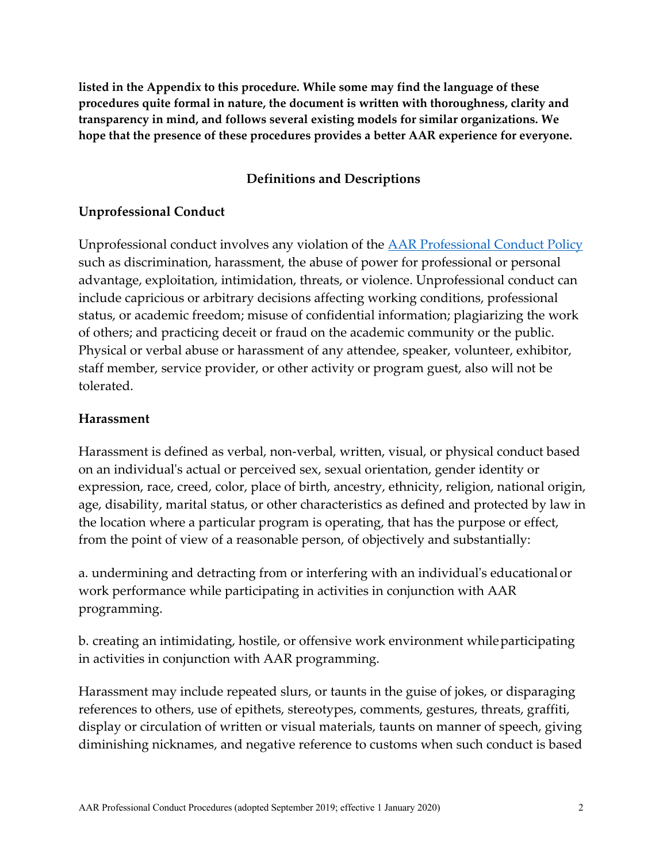**listed in the Appendix to this procedure. While some may find the language of these procedures quite formal in nature, the document is written with thoroughness, clarity and transparency in mind, and follows several existing models for similar organizations. We hope that the presence of these procedures provides a better AAR experience for everyone.**

### **Definitions and Descriptions**

#### **Unprofessional Conduct**

Unprofessional conduct involves any violation of the AAR Professional Conduct Policy such as discrimination, harassment, the abuse of power for professional or personal advantage, exploitation, intimidation, threats, or violence. Unprofessional conduct can include capricious or arbitrary decisions affecting working conditions, professional status, or academic freedom; misuse of confidential information; plagiarizing the work of others; and practicing deceit or fraud on the academic community or the public. Physical or verbal abuse or harassment of any attendee, speaker, volunteer, exhibitor, staff member, service provider, or other activity or program guest, also will not be tolerated.

#### **Harassment**

Harassment is defined as verbal, non-verbal, written, visual, or physical conduct based on an individual's actual or perceived sex, sexual orientation, gender identity or expression, race, creed, color, place of birth, ancestry, ethnicity, religion, national origin, age, disability, marital status, or other characteristics as defined and protected by law in the location where a particular program is operating, that has the purpose or effect, from the point of view of a reasonable person, of objectively and substantially:

a. undermining and detracting from or interfering with an individual's educational or work performance while participating in activities in conjunction with AAR programming.

b. creating an intimidating, hostile, or offensive work environment whileparticipating in activities in conjunction with AAR programming.

Harassment may include repeated slurs, or taunts in the guise of jokes, or disparaging references to others, use of epithets, stereotypes, comments, gestures, threats, graffiti, display or circulation of written or visual materials, taunts on manner of speech, giving diminishing nicknames, and negative reference to customs when such conduct is based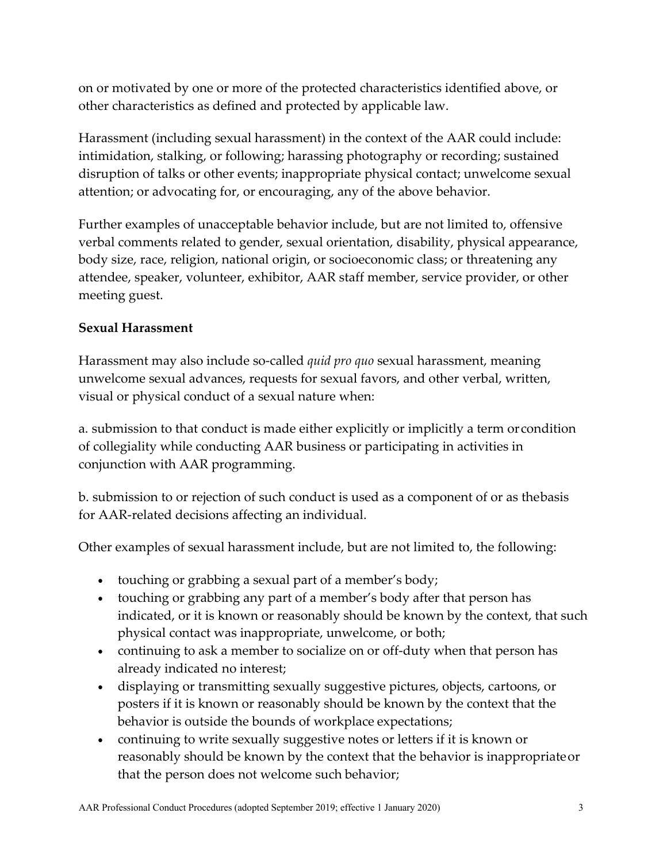on or motivated by one or more of the protected characteristics identified above, or other characteristics as defined and protected by applicable law.

Harassment (including sexual harassment) in the context of the AAR could include: intimidation, stalking, or following; harassing photography or recording; sustained disruption of talks or other events; inappropriate physical contact; unwelcome sexual attention; or advocating for, or encouraging, any of the above behavior.

Further examples of unacceptable behavior include, but are not limited to, offensive verbal comments related to gender, sexual orientation, disability, physical appearance, body size, race, religion, national origin, or socioeconomic class; or threatening any attendee, speaker, volunteer, exhibitor, AAR staff member, service provider, or other meeting guest.

## **Sexual Harassment**

Harassment may also include so-called *quid pro quo* sexual harassment, meaning unwelcome sexual advances, requests for sexual favors, and other verbal, written, visual or physical conduct of a sexual nature when:

a. submission to that conduct is made either explicitly or implicitly a term orcondition of collegiality while conducting AAR business or participating in activities in conjunction with AAR programming.

b. submission to or rejection of such conduct is used as a component of or as thebasis for AAR-related decisions affecting an individual.

Other examples of sexual harassment include, but are not limited to, the following:

- touching or grabbing a sexual part of a member's body;
- touching or grabbing any part of a member's body after that person has indicated, or it is known or reasonably should be known by the context, that such physical contact was inappropriate, unwelcome, or both;
- continuing to ask a member to socialize on or off-duty when that person has already indicated no interest;
- displaying or transmitting sexually suggestive pictures, objects, cartoons, or posters if it is known or reasonably should be known by the context that the behavior is outside the bounds of workplace expectations;
- continuing to write sexually suggestive notes or letters if it is known or reasonably should be known by the context that the behavior is inappropriateor that the person does not welcome such behavior;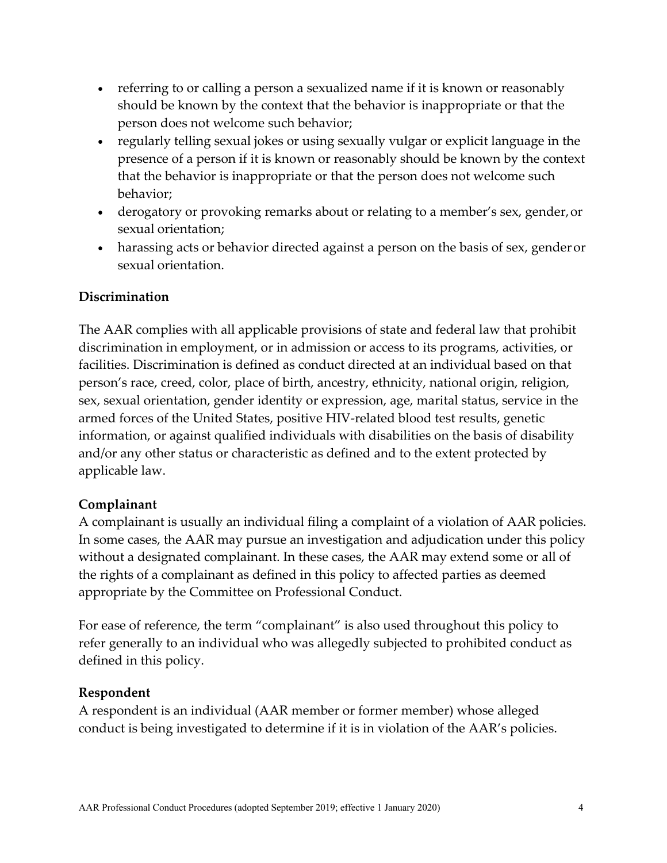- referring to or calling a person a sexualized name if it is known or reasonably should be known by the context that the behavior is inappropriate or that the person does not welcome such behavior;
- regularly telling sexual jokes or using sexually vulgar or explicit language in the presence of a person if it is known or reasonably should be known by the context that the behavior is inappropriate or that the person does not welcome such behavior;
- derogatory or provoking remarks about or relating to a member's sex, gender, or sexual orientation;
- harassing acts or behavior directed against a person on the basis of sex, gender or sexual orientation.

## **Discrimination**

The AAR complies with all applicable provisions of state and federal law that prohibit discrimination in employment, or in admission or access to its programs, activities, or facilities. Discrimination is defined as conduct directed at an individual based on that person's race, creed, color, place of birth, ancestry, ethnicity, national origin, religion, sex, sexual orientation, gender identity or expression, age, marital status, service in the armed forces of the United States, positive HIV-related blood test results, genetic information, or against qualified individuals with disabilities on the basis of disability and/or any other status or characteristic as defined and to the extent protected by applicable law.

## **Complainant**

A complainant is usually an individual filing a complaint of a violation of AAR policies. In some cases, the AAR may pursue an investigation and adjudication under this policy without a designated complainant. In these cases, the AAR may extend some or all of the rights of a complainant as defined in this policy to affected parties as deemed appropriate by the Committee on Professional Conduct.

For ease of reference, the term "complainant" is also used throughout this policy to refer generally to an individual who was allegedly subjected to prohibited conduct as defined in this policy.

## **Respondent**

A respondent is an individual (AAR member or former member) whose alleged conduct is being investigated to determine if it is in violation of the AAR's policies.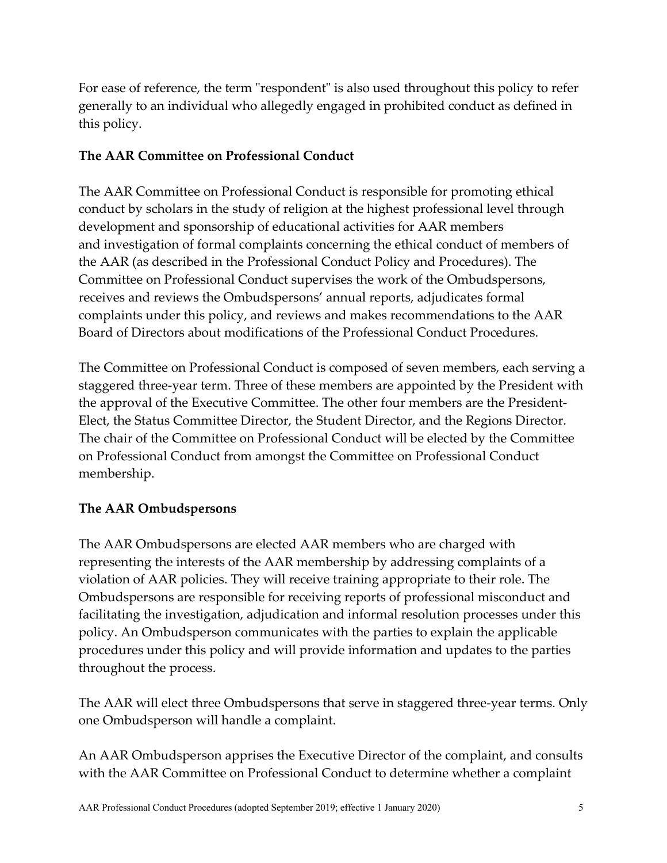For ease of reference, the term "respondent" is also used throughout this policy to refer generally to an individual who allegedly engaged in prohibited conduct as defined in this policy.

## **The AAR Committee on Professional Conduct**

The AAR Committee on Professional Conduct is responsible for promoting ethical conduct by scholars in the study of religion at the highest professional level through development and sponsorship of educational activities for AAR members and investigation of formal complaints concerning the ethical conduct of members of the AAR (as described in the Professional Conduct Policy and Procedures). The Committee on Professional Conduct supervises the work of the Ombudspersons, receives and reviews the Ombudspersons' annual reports, adjudicates formal complaints under this policy, and reviews and makes recommendations to the AAR Board of Directors about modifications of the Professional Conduct Procedures.

The Committee on Professional Conduct is composed of seven members, each serving a staggered three-year term. Three of these members are appointed by the President with the approval of the Executive Committee. The other four members are the President-Elect, the Status Committee Director, the Student Director, and the Regions Director. The chair of the Committee on Professional Conduct will be elected by the Committee on Professional Conduct from amongst the Committee on Professional Conduct membership.

## **The AAR Ombudspersons**

The AAR Ombudspersons are elected AAR members who are charged with representing the interests of the AAR membership by addressing complaints of a violation of AAR policies. They will receive training appropriate to their role. The Ombudspersons are responsible for receiving reports of professional misconduct and facilitating the investigation, adjudication and informal resolution processes under this policy. An Ombudsperson communicates with the parties to explain the applicable procedures under this policy and will provide information and updates to the parties throughout the process.

The AAR will elect three Ombudspersons that serve in staggered three-year terms. Only one Ombudsperson will handle a complaint.

An AAR Ombudsperson apprises the Executive Director of the complaint, and consults with the AAR Committee on Professional Conduct to determine whether a complaint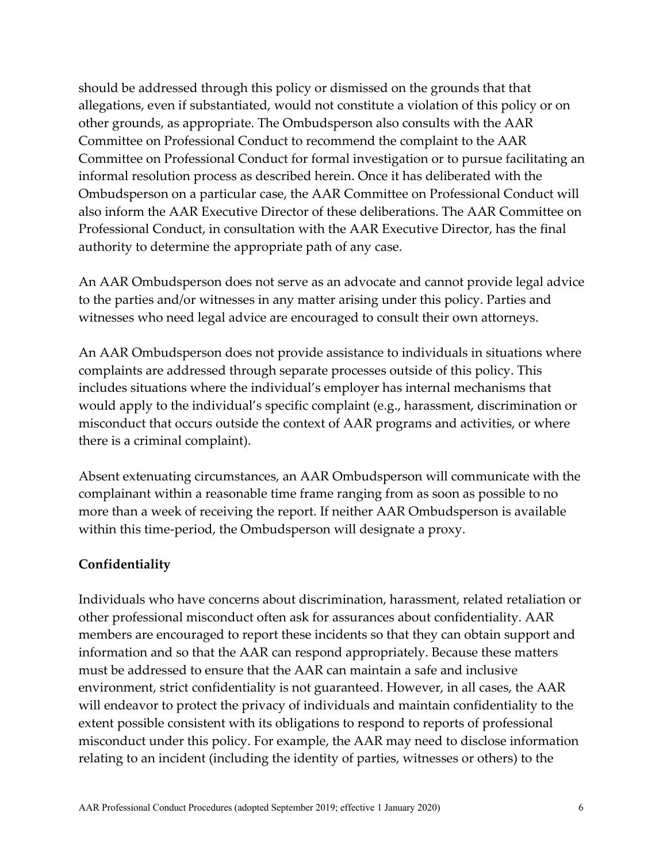should be addressed through this policy or dismissed on the grounds that that allegations, even if substantiated, would not constitute a violation of this policy or on other grounds, as appropriate. The Ombudsperson also consults with the AAR Committee on Professional Conduct to recommend the complaint to the AAR Committee on Professional Conduct for formal investigation or to pursue facilitating an informal resolution process as described herein. Once it has deliberated with the Ombudsperson on a particular case, the AAR Committee on Professional Conduct will also inform the AAR Executive Director of these deliberations. The AAR Committee on Professional Conduct, in consultation with the AAR Executive Director, has the final authority to determine the appropriate path of any case.

An AAR Ombudsperson does not serve as an advocate and cannot provide legal advice to the parties and/or witnesses in any matter arising under this policy. Parties and witnesses who need legal advice are encouraged to consult their own attorneys.

An AAR Ombudsperson does not provide assistance to individuals in situations where complaints are addressed through separate processes outside of this policy. This includes situations where the individual's employer has internal mechanisms that would apply to the individual's specific complaint (e.g., harassment, discrimination or misconduct that occurs outside the context of AAR programs and activities, or where there is a criminal complaint).

Absent extenuating circumstances, an AAR Ombudsperson will communicate with the complainant within a reasonable time frame ranging from as soon as possible to no more than a week of receiving the report. If neither AAR Ombudsperson is available within this time-period, the Ombudsperson will designate a proxy.

#### **Confidentiality**

Individuals who have concerns about discrimination, harassment, related retaliation or other professional misconduct often ask for assurances about confidentiality. AAR members are encouraged to report these incidents so that they can obtain support and information and so that the AAR can respond appropriately. Because these matters must be addressed to ensure that the AAR can maintain a safe and inclusive environment, strict confidentiality is not guaranteed. However, in all cases, the AAR will endeavor to protect the privacy of individuals and maintain confidentiality to the extent possible consistent with its obligations to respond to reports of professional misconduct under this policy. For example, the AAR may need to disclose information relating to an incident (including the identity of parties, witnesses or others) to the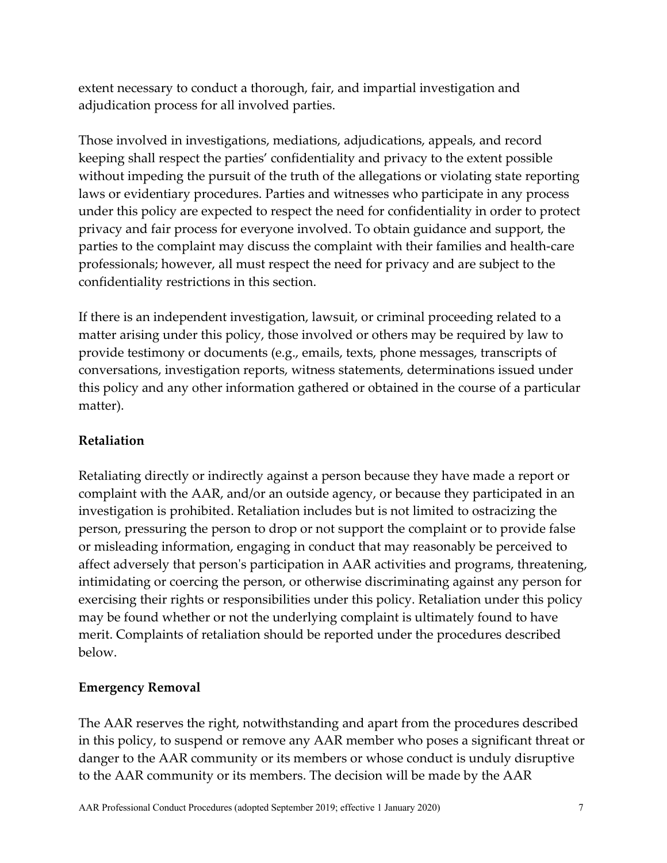extent necessary to conduct a thorough, fair, and impartial investigation and adjudication process for all involved parties.

Those involved in investigations, mediations, adjudications, appeals, and record keeping shall respect the parties' confidentiality and privacy to the extent possible without impeding the pursuit of the truth of the allegations or violating state reporting laws or evidentiary procedures. Parties and witnesses who participate in any process under this policy are expected to respect the need for confidentiality in order to protect privacy and fair process for everyone involved. To obtain guidance and support, the parties to the complaint may discuss the complaint with their families and health-care professionals; however, all must respect the need for privacy and are subject to the confidentiality restrictions in this section.

If there is an independent investigation, lawsuit, or criminal proceeding related to a matter arising under this policy, those involved or others may be required by law to provide testimony or documents (e.g., emails, texts, phone messages, transcripts of conversations, investigation reports, witness statements, determinations issued under this policy and any other information gathered or obtained in the course of a particular matter).

## **Retaliation**

Retaliating directly or indirectly against a person because they have made a report or complaint with the AAR, and/or an outside agency, or because they participated in an investigation is prohibited. Retaliation includes but is not limited to ostracizing the person, pressuring the person to drop or not support the complaint or to provide false or misleading information, engaging in conduct that may reasonably be perceived to affect adversely that person's participation in AAR activities and programs, threatening, intimidating or coercing the person, or otherwise discriminating against any person for exercising their rights or responsibilities under this policy. Retaliation under this policy may be found whether or not the underlying complaint is ultimately found to have merit. Complaints of retaliation should be reported under the procedures described below.

## **Emergency Removal**

The AAR reserves the right, notwithstanding and apart from the procedures described in this policy, to suspend or remove any AAR member who poses a significant threat or danger to the AAR community or its members or whose conduct is unduly disruptive to the AAR community or its members. The decision will be made by the AAR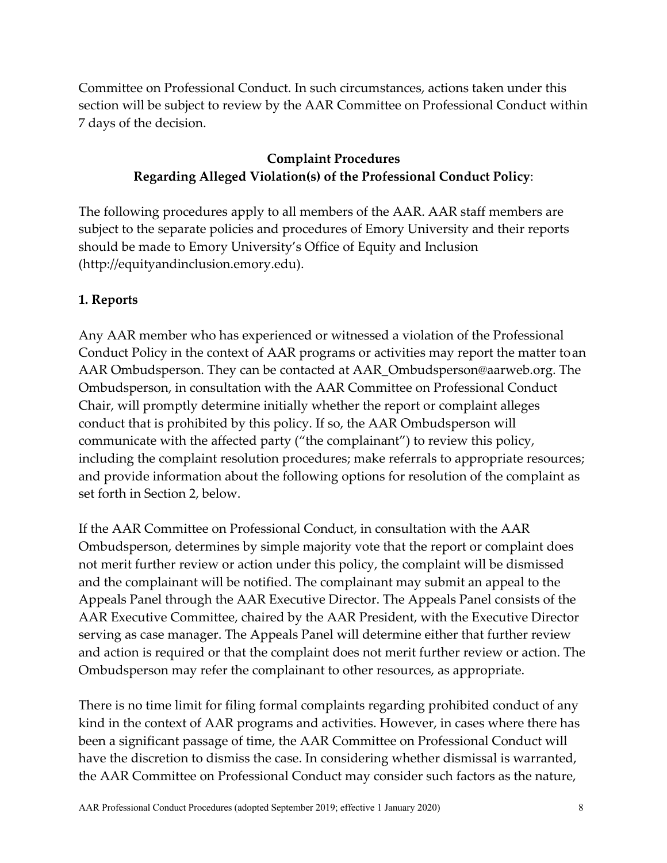Committee on Professional Conduct. In such circumstances, actions taken under this section will be subject to review by the AAR Committee on Professional Conduct within 7 days of the decision.

## **Complaint Procedures Regarding Alleged Violation(s) of the Professional Conduct Policy**:

The following procedures apply to all members of the AAR. AAR staff members are subject to the separate policies and procedures of Emory University and their reports should be made to Emory University's Office of Equity and Inclusion (http://equityandinclusion.emory.edu).

## **1. Reports**

Any AAR member who has experienced or witnessed a violation of the Professional Conduct Policy in the context of AAR programs or activities may report the matter toan AAR Ombudsperson. They can be contacted at AAR\_Ombudsperson@aarweb.org. The Ombudsperson, in consultation with the AAR Committee on Professional Conduct Chair, will promptly determine initially whether the report or complaint alleges conduct that is prohibited by this policy. If so, the AAR Ombudsperson will communicate with the affected party ("the complainant") to review this policy, including the complaint resolution procedures; make referrals to appropriate resources; and provide information about the following options for resolution of the complaint as set forth in Section 2, below.

If the AAR Committee on Professional Conduct, in consultation with the AAR Ombudsperson, determines by simple majority vote that the report or complaint does not merit further review or action under this policy, the complaint will be dismissed and the complainant will be notified. The complainant may submit an appeal to the Appeals Panel through the AAR Executive Director. The Appeals Panel consists of the AAR Executive Committee, chaired by the AAR President, with the Executive Director serving as case manager. The Appeals Panel will determine either that further review and action is required or that the complaint does not merit further review or action. The Ombudsperson may refer the complainant to other resources, as appropriate.

There is no time limit for filing formal complaints regarding prohibited conduct of any kind in the context of AAR programs and activities. However, in cases where there has been a significant passage of time, the AAR Committee on Professional Conduct will have the discretion to dismiss the case. In considering whether dismissal is warranted, the AAR Committee on Professional Conduct may consider such factors as the nature,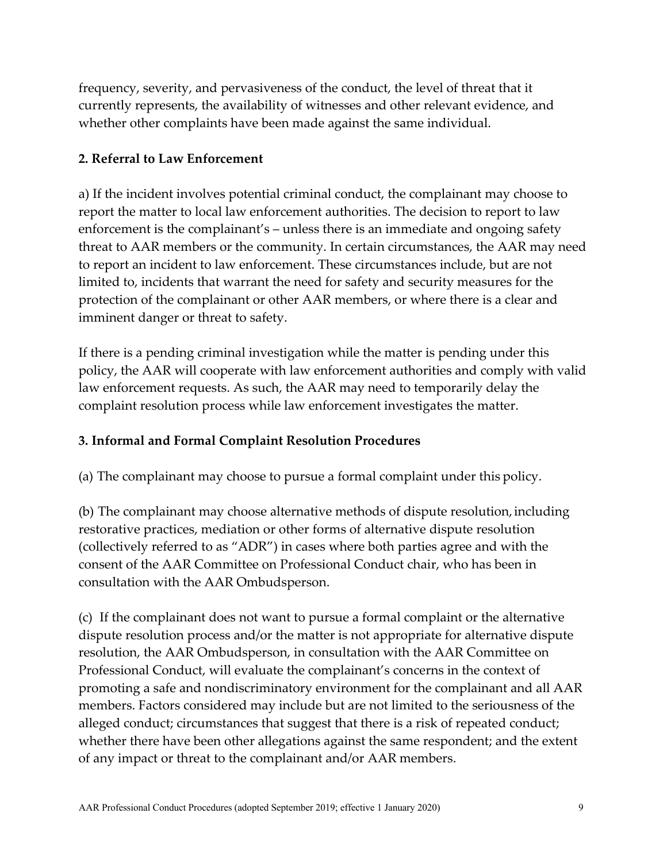frequency, severity, and pervasiveness of the conduct, the level of threat that it currently represents, the availability of witnesses and other relevant evidence, and whether other complaints have been made against the same individual.

## **2. Referral to Law Enforcement**

a) If the incident involves potential criminal conduct, the complainant may choose to report the matter to local law enforcement authorities. The decision to report to law enforcement is the complainant's – unless there is an immediate and ongoing safety threat to AAR members or the community. In certain circumstances, the AAR may need to report an incident to law enforcement. These circumstances include, but are not limited to, incidents that warrant the need for safety and security measures for the protection of the complainant or other AAR members, or where there is a clear and imminent danger or threat to safety.

If there is a pending criminal investigation while the matter is pending under this policy, the AAR will cooperate with law enforcement authorities and comply with valid law enforcement requests. As such, the AAR may need to temporarily delay the complaint resolution process while law enforcement investigates the matter.

## **3. Informal and Formal Complaint Resolution Procedures**

(a) The complainant may choose to pursue a formal complaint under this policy.

(b) The complainant may choose alternative methods of dispute resolution, including restorative practices, mediation or other forms of alternative dispute resolution (collectively referred to as "ADR") in cases where both parties agree and with the consent of the AAR Committee on Professional Conduct chair, who has been in consultation with the AAR Ombudsperson.

(c) If the complainant does not want to pursue a formal complaint or the alternative dispute resolution process and/or the matter is not appropriate for alternative dispute resolution, the AAR Ombudsperson, in consultation with the AAR Committee on Professional Conduct, will evaluate the complainant's concerns in the context of promoting a safe and nondiscriminatory environment for the complainant and all AAR members. Factors considered may include but are not limited to the seriousness of the alleged conduct; circumstances that suggest that there is a risk of repeated conduct; whether there have been other allegations against the same respondent; and the extent of any impact or threat to the complainant and/or AAR members.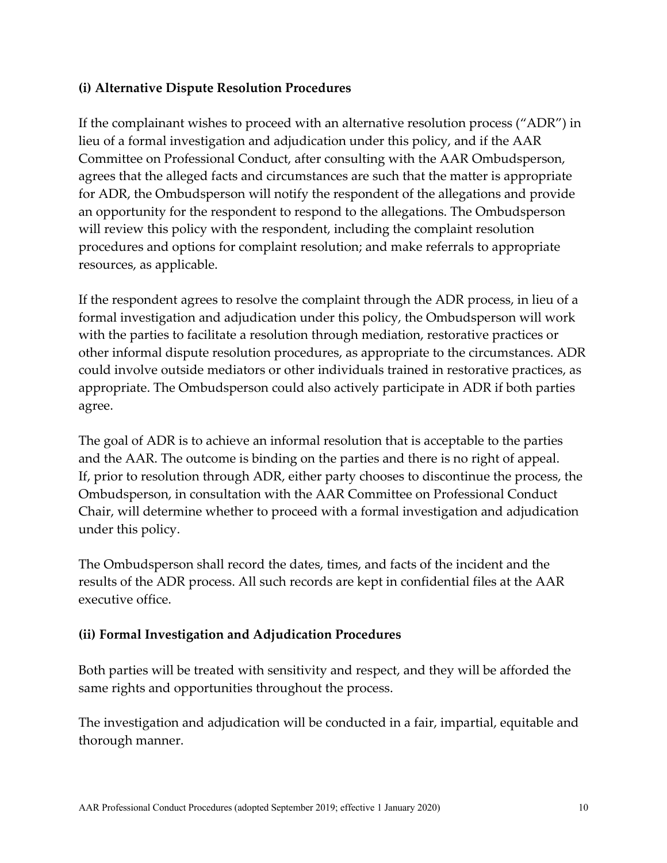## **(i) Alternative Dispute Resolution Procedures**

If the complainant wishes to proceed with an alternative resolution process ("ADR") in lieu of a formal investigation and adjudication under this policy, and if the AAR Committee on Professional Conduct, after consulting with the AAR Ombudsperson, agrees that the alleged facts and circumstances are such that the matter is appropriate for ADR, the Ombudsperson will notify the respondent of the allegations and provide an opportunity for the respondent to respond to the allegations. The Ombudsperson will review this policy with the respondent, including the complaint resolution procedures and options for complaint resolution; and make referrals to appropriate resources, as applicable.

If the respondent agrees to resolve the complaint through the ADR process, in lieu of a formal investigation and adjudication under this policy, the Ombudsperson will work with the parties to facilitate a resolution through mediation, restorative practices or other informal dispute resolution procedures, as appropriate to the circumstances. ADR could involve outside mediators or other individuals trained in restorative practices, as appropriate. The Ombudsperson could also actively participate in ADR if both parties agree.

The goal of ADR is to achieve an informal resolution that is acceptable to the parties and the AAR. The outcome is binding on the parties and there is no right of appeal. If, prior to resolution through ADR, either party chooses to discontinue the process, the Ombudsperson, in consultation with the AAR Committee on Professional Conduct Chair, will determine whether to proceed with a formal investigation and adjudication under this policy.

The Ombudsperson shall record the dates, times, and facts of the incident and the results of the ADR process. All such records are kept in confidential files at the AAR executive office.

## **(ii) Formal Investigation and Adjudication Procedures**

Both parties will be treated with sensitivity and respect, and they will be afforded the same rights and opportunities throughout the process.

The investigation and adjudication will be conducted in a fair, impartial, equitable and thorough manner.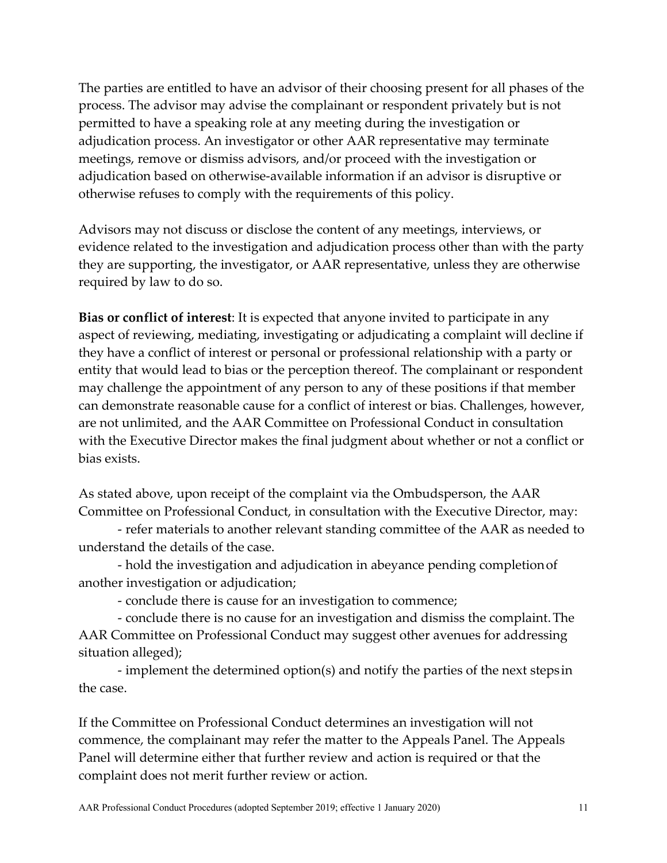The parties are entitled to have an advisor of their choosing present for all phases of the process. The advisor may advise the complainant or respondent privately but is not permitted to have a speaking role at any meeting during the investigation or adjudication process. An investigator or other AAR representative may terminate meetings, remove or dismiss advisors, and/or proceed with the investigation or adjudication based on otherwise-available information if an advisor is disruptive or otherwise refuses to comply with the requirements of this policy.

Advisors may not discuss or disclose the content of any meetings, interviews, or evidence related to the investigation and adjudication process other than with the party they are supporting, the investigator, or AAR representative, unless they are otherwise required by law to do so.

**Bias or conflict of interest**: It is expected that anyone invited to participate in any aspect of reviewing, mediating, investigating or adjudicating a complaint will decline if they have a conflict of interest or personal or professional relationship with a party or entity that would lead to bias or the perception thereof. The complainant or respondent may challenge the appointment of any person to any of these positions if that member can demonstrate reasonable cause for a conflict of interest or bias. Challenges, however, are not unlimited, and the AAR Committee on Professional Conduct in consultation with the Executive Director makes the final judgment about whether or not a conflict or bias exists.

As stated above, upon receipt of the complaint via the Ombudsperson, the AAR Committee on Professional Conduct, in consultation with the Executive Director, may:

- refer materials to another relevant standing committee of the AAR as needed to understand the details of the case.

- hold the investigation and adjudication in abeyance pending completionof another investigation or adjudication;

- conclude there is cause for an investigation to commence;

- conclude there is no cause for an investigation and dismiss the complaint.The AAR Committee on Professional Conduct may suggest other avenues for addressing situation alleged);

- implement the determined option(s) and notify the parties of the next steps in the case.

If the Committee on Professional Conduct determines an investigation will not commence, the complainant may refer the matter to the Appeals Panel. The Appeals Panel will determine either that further review and action is required or that the complaint does not merit further review or action.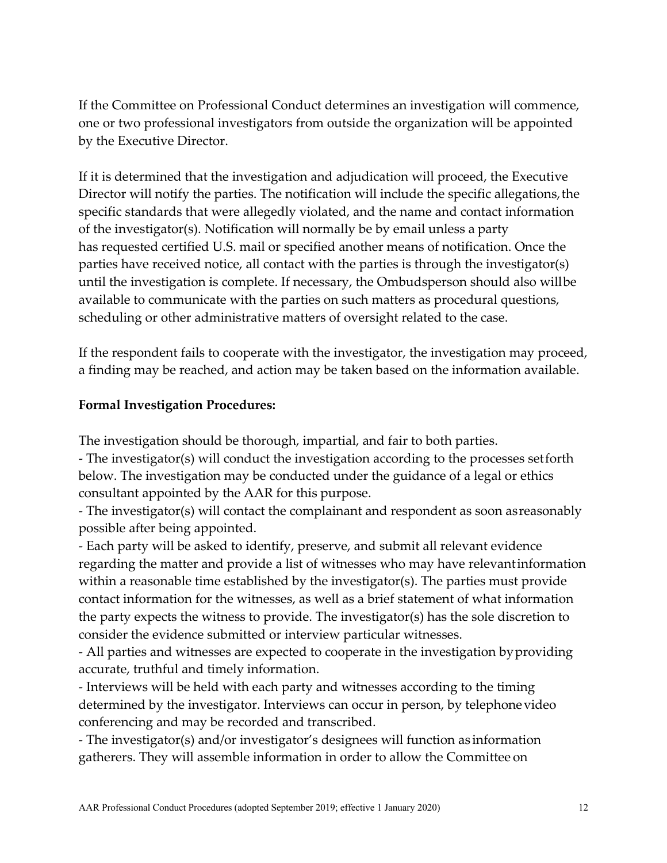If the Committee on Professional Conduct determines an investigation will commence, one or two professional investigators from outside the organization will be appointed by the Executive Director.

If it is determined that the investigation and adjudication will proceed, the Executive Director will notify the parties. The notification will include the specific allegations, the specific standards that were allegedly violated, and the name and contact information of the investigator(s). Notification will normally be by email unless a party has requested certified U.S. mail or specified another means of notification. Once the parties have received notice, all contact with the parties is through the investigator(s) until the investigation is complete. If necessary, the Ombudsperson should also willbe available to communicate with the parties on such matters as procedural questions, scheduling or other administrative matters of oversight related to the case.

If the respondent fails to cooperate with the investigator, the investigation may proceed, a finding may be reached, and action may be taken based on the information available.

## **Formal Investigation Procedures:**

The investigation should be thorough, impartial, and fair to both parties.

- The investigator(s) will conduct the investigation according to the processes setforth below. The investigation may be conducted under the guidance of a legal or ethics consultant appointed by the AAR for this purpose.

- The investigator(s) will contact the complainant and respondent as soon asreasonably possible after being appointed.

- Each party will be asked to identify, preserve, and submit all relevant evidence regarding the matter and provide a list of witnesses who may have relevantinformation within a reasonable time established by the investigator(s). The parties must provide contact information for the witnesses, as well as a brief statement of what information the party expects the witness to provide. The investigator(s) has the sole discretion to consider the evidence submitted or interview particular witnesses.

- All parties and witnesses are expected to cooperate in the investigation byproviding accurate, truthful and timely information.

- Interviews will be held with each party and witnesses according to the timing determined by the investigator. Interviews can occur in person, by telephonevideo conferencing and may be recorded and transcribed.

- The investigator(s) and/or investigator's designees will function as information gatherers. They will assemble information in order to allow the Committee on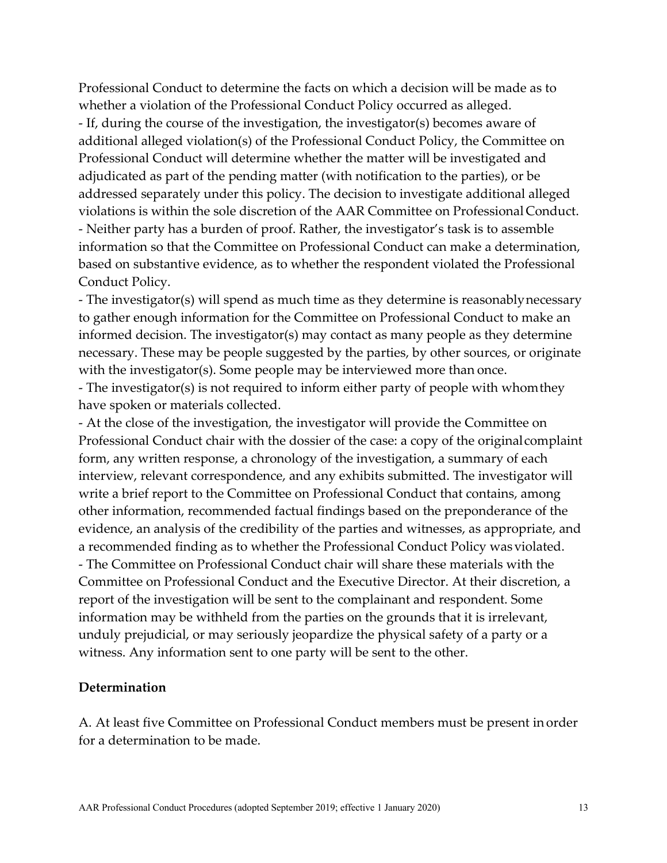Professional Conduct to determine the facts on which a decision will be made as to whether a violation of the Professional Conduct Policy occurred as alleged. - If, during the course of the investigation, the investigator(s) becomes aware of additional alleged violation(s) of the Professional Conduct Policy, the Committee on Professional Conduct will determine whether the matter will be investigated and adjudicated as part of the pending matter (with notification to the parties), or be addressed separately under this policy. The decision to investigate additional alleged violations is within the sole discretion of the AAR Committee on Professional Conduct. - Neither party has a burden of proof. Rather, the investigator's task is to assemble information so that the Committee on Professional Conduct can make a determination, based on substantive evidence, as to whether the respondent violated the Professional Conduct Policy.

- The investigator(s) will spend as much time as they determine is reasonablynecessary to gather enough information for the Committee on Professional Conduct to make an informed decision. The investigator(s) may contact as many people as they determine necessary. These may be people suggested by the parties, by other sources, or originate with the investigator(s). Some people may be interviewed more than once.

- The investigator(s) is not required to inform either party of people with whomthey have spoken or materials collected.

- At the close of the investigation, the investigator will provide the Committee on Professional Conduct chair with the dossier of the case: a copy of the originalcomplaint form, any written response, a chronology of the investigation, a summary of each interview, relevant correspondence, and any exhibits submitted. The investigator will write a brief report to the Committee on Professional Conduct that contains, among other information, recommended factual findings based on the preponderance of the evidence, an analysis of the credibility of the parties and witnesses, as appropriate, and a recommended finding as to whether the Professional Conduct Policy wasviolated. - The Committee on Professional Conduct chair will share these materials with the Committee on Professional Conduct and the Executive Director. At their discretion, a report of the investigation will be sent to the complainant and respondent. Some information may be withheld from the parties on the grounds that it is irrelevant, unduly prejudicial, or may seriously jeopardize the physical safety of a party or a witness. Any information sent to one party will be sent to the other.

#### **Determination**

A. At least five Committee on Professional Conduct members must be present inorder for a determination to be made.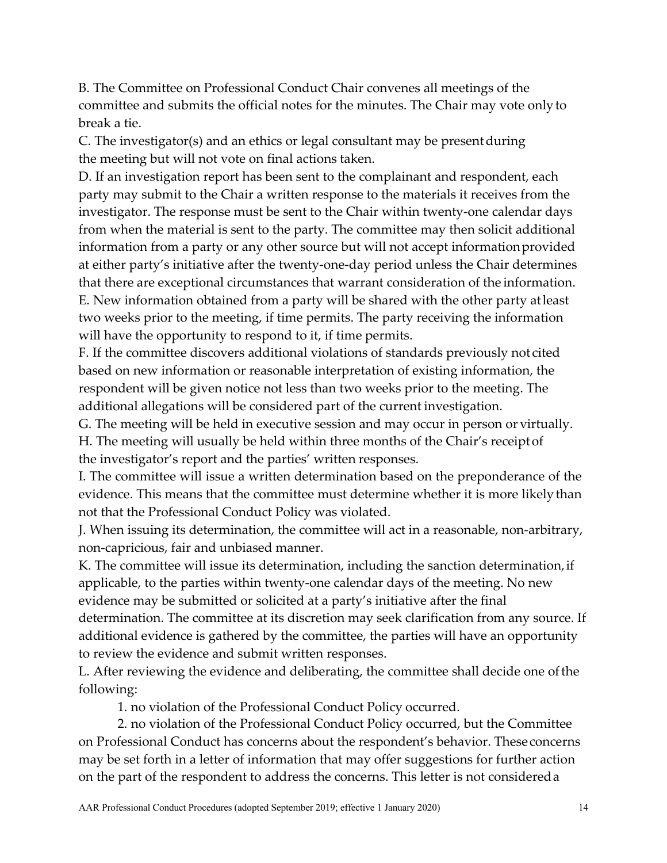B. The Committee on Professional Conduct Chair convenes all meetings of the committee and submits the official notes for the minutes. The Chair may vote onlyto break a tie.

C. The investigator(s) and an ethics or legal consultant may be presentduring the meeting but will not vote on final actions taken.

D. If an investigation report has been sent to the complainant and respondent, each party may submit to the Chair a written response to the materials it receives from the investigator. The response must be sent to the Chair within twenty-one calendar days from when the material is sent to the party. The committee may then solicit additional information from a party or any other source but will not accept informationprovided at either party's initiative after the twenty-one-day period unless the Chair determines that there are exceptional circumstances that warrant consideration of the information. E. New information obtained from a party will be shared with the other party atleast two weeks prior to the meeting, if time permits. The party receiving the information will have the opportunity to respond to it, if time permits.

F. If the committee discovers additional violations of standards previously not cited based on new information or reasonable interpretation of existing information, the respondent will be given notice not less than two weeks prior to the meeting. The additional allegations will be considered part of the current investigation.

G. The meeting will be held in executive session and may occur in person or virtually.

H. The meeting will usually be held within three months of the Chair's receiptof the investigator's report and the parties' written responses.

I. The committee will issue a written determination based on the preponderance of the evidence. This means that the committee must determine whether it is more likelythan not that the Professional Conduct Policy was violated.

J. When issuing its determination, the committee will act in a reasonable, non-arbitrary, non-capricious, fair and unbiased manner.

K. The committee will issue its determination, including the sanction determination,if applicable, to the parties within twenty-one calendar days of the meeting. No new evidence may be submitted or solicited at a party's initiative after the final determination. The committee at its discretion may seek clarification from any source. If additional evidence is gathered by the committee, the parties will have an opportunity to review the evidence and submit written responses.

L. After reviewing the evidence and deliberating, the committee shall decide one ofthe following:

1. no violation of the Professional Conduct Policy occurred.

2. no violation of the Professional Conduct Policy occurred, but the Committee on Professional Conduct has concerns about the respondent's behavior. Theseconcerns may be set forth in a letter of information that may offer suggestions for further action on the part of the respondent to address the concerns. This letter is not considereda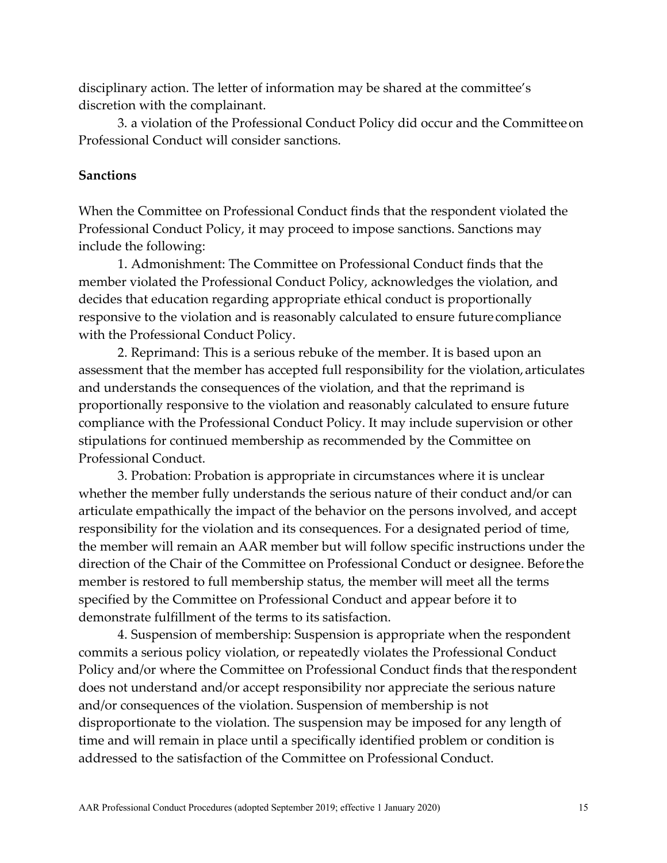disciplinary action. The letter of information may be shared at the committee's discretion with the complainant.

3. a violation of the Professional Conduct Policy did occur and the Committeeon Professional Conduct will consider sanctions.

#### **Sanctions**

When the Committee on Professional Conduct finds that the respondent violated the Professional Conduct Policy, it may proceed to impose sanctions. Sanctions may include the following:

1. Admonishment: The Committee on Professional Conduct finds that the member violated the Professional Conduct Policy, acknowledges the violation, and decides that education regarding appropriate ethical conduct is proportionally responsive to the violation and is reasonably calculated to ensure futurecompliance with the Professional Conduct Policy.

2. Reprimand: This is a serious rebuke of the member. It is based upon an assessment that the member has accepted full responsibility for the violation, articulates and understands the consequences of the violation, and that the reprimand is proportionally responsive to the violation and reasonably calculated to ensure future compliance with the Professional Conduct Policy. It may include supervision or other stipulations for continued membership as recommended by the Committee on Professional Conduct.

3. Probation: Probation is appropriate in circumstances where it is unclear whether the member fully understands the serious nature of their conduct and/or can articulate empathically the impact of the behavior on the persons involved, and accept responsibility for the violation and its consequences. For a designated period of time, the member will remain an AAR member but will follow specific instructions under the direction of the Chair of the Committee on Professional Conduct or designee. Beforethe member is restored to full membership status, the member will meet all the terms specified by the Committee on Professional Conduct and appear before it to demonstrate fulfillment of the terms to its satisfaction.

4. Suspension of membership: Suspension is appropriate when the respondent commits a serious policy violation, or repeatedly violates the Professional Conduct Policy and/or where the Committee on Professional Conduct finds that therespondent does not understand and/or accept responsibility nor appreciate the serious nature and/or consequences of the violation. Suspension of membership is not disproportionate to the violation. The suspension may be imposed for any length of time and will remain in place until a specifically identified problem or condition is addressed to the satisfaction of the Committee on Professional Conduct.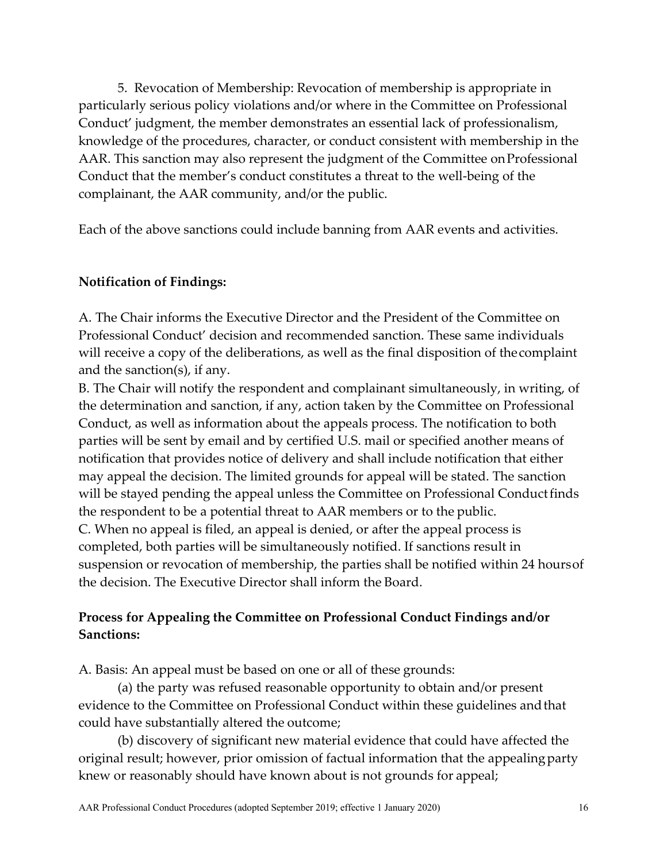5. Revocation of Membership: Revocation of membership is appropriate in particularly serious policy violations and/or where in the Committee on Professional Conduct' judgment, the member demonstrates an essential lack of professionalism, knowledge of the procedures, character, or conduct consistent with membership in the AAR. This sanction may also represent the judgment of the Committee on Professional Conduct that the member's conduct constitutes a threat to the well-being of the complainant, the AAR community, and/or the public.

Each of the above sanctions could include banning from AAR events and activities.

### **Notification of Findings:**

A. The Chair informs the Executive Director and the President of the Committee on Professional Conduct' decision and recommended sanction. These same individuals will receive a copy of the deliberations, as well as the final disposition of thecomplaint and the sanction(s), if any.

B. The Chair will notify the respondent and complainant simultaneously, in writing, of the determination and sanction, if any, action taken by the Committee on Professional Conduct, as well as information about the appeals process. The notification to both parties will be sent by email and by certified U.S. mail or specified another means of notification that provides notice of delivery and shall include notification that either may appeal the decision. The limited grounds for appeal will be stated. The sanction will be stayed pending the appeal unless the Committee on Professional Conduct finds the respondent to be a potential threat to AAR members or to the public. C. When no appeal is filed, an appeal is denied, or after the appeal process is completed, both parties will be simultaneously notified. If sanctions result in suspension or revocation of membership, the parties shall be notified within 24 hoursof the decision. The Executive Director shall inform the Board.

## **Process for Appealing the Committee on Professional Conduct Findings and/or Sanctions:**

A. Basis: An appeal must be based on one or all of these grounds:

(a) the party was refused reasonable opportunity to obtain and/or present evidence to the Committee on Professional Conduct within these guidelines andthat could have substantially altered the outcome;

(b) discovery of significant new material evidence that could have affected the original result; however, prior omission of factual information that the appealingparty knew or reasonably should have known about is not grounds for appeal;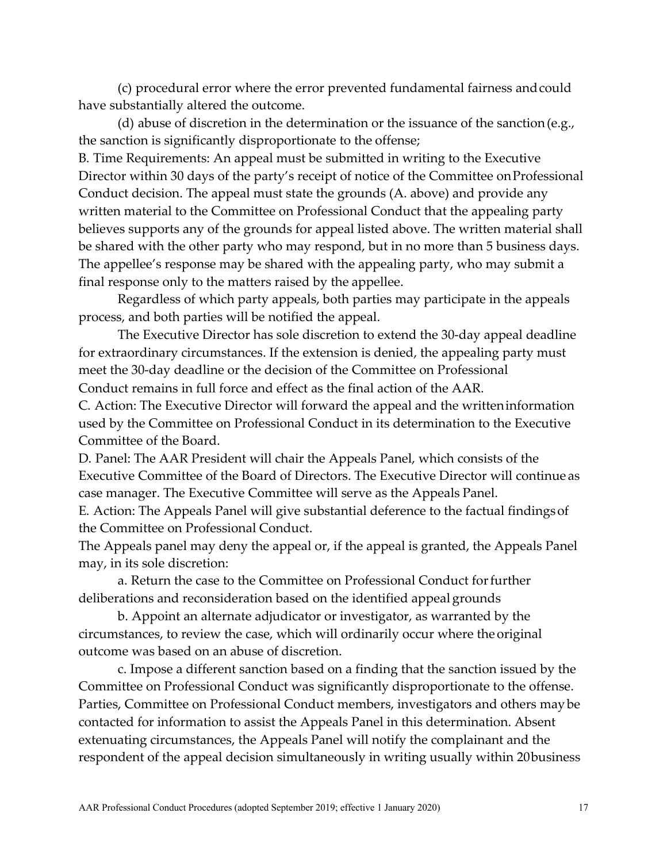(c) procedural error where the error prevented fundamental fairness andcould have substantially altered the outcome.

(d) abuse of discretion in the determination or the issuance of the sanction (e.g., the sanction is significantly disproportionate to the offense;

B. Time Requirements: An appeal must be submitted in writing to the Executive Director within 30 days of the party's receipt of notice of the Committee onProfessional Conduct decision. The appeal must state the grounds (A. above) and provide any written material to the Committee on Professional Conduct that the appealing party believes supports any of the grounds for appeal listed above. The written material shall be shared with the other party who may respond, but in no more than 5 business days. The appellee's response may be shared with the appealing party, who may submit a final response only to the matters raised by the appellee.

Regardless of which party appeals, both parties may participate in the appeals process, and both parties will be notified the appeal.

The Executive Director has sole discretion to extend the 30-day appeal deadline for extraordinary circumstances. If the extension is denied, the appealing party must meet the 30-day deadline or the decision of the Committee on Professional

Conduct remains in full force and effect as the final action of the AAR.

C. Action: The Executive Director will forward the appeal and the writteninformation used by the Committee on Professional Conduct in its determination to the Executive Committee of the Board.

D. Panel: The AAR President will chair the Appeals Panel, which consists of the Executive Committee of the Board of Directors. The Executive Director will continue as case manager. The Executive Committee will serve as the Appeals Panel.

E. Action: The Appeals Panel will give substantial deference to the factual findingsof the Committee on Professional Conduct.

The Appeals panel may deny the appeal or, if the appeal is granted, the Appeals Panel may, in its sole discretion:

a. Return the case to the Committee on Professional Conduct forfurther deliberations and reconsideration based on the identified appeal grounds

b. Appoint an alternate adjudicator or investigator, as warranted by the circumstances, to review the case, which will ordinarily occur where the original outcome was based on an abuse of discretion.

c. Impose a different sanction based on a finding that the sanction issued by the Committee on Professional Conduct was significantly disproportionate to the offense. Parties, Committee on Professional Conduct members, investigators and others maybe contacted for information to assist the Appeals Panel in this determination. Absent extenuating circumstances, the Appeals Panel will notify the complainant and the respondent of the appeal decision simultaneously in writing usually within 20business